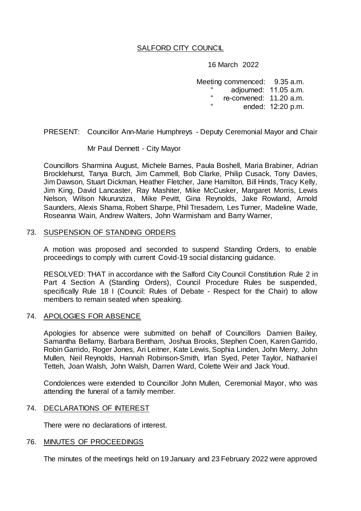# SALFORD CITY COUNCIL

16 March 2022

Meeting commenced: 9.35 a.m. adjourned: 11.05 a.m. re-convened: 11.20 a.m. ended: 12:20 p.m.

PRESENT: Councillor Ann-Marie Humphreys - Deputy Ceremonial Mayor and Chair

Mr Paul Dennett - City Mayor

Councillors Sharmina August, Michele Barnes, Paula Boshell, Maria Brabiner, Adrian Brocklehurst, Tanya Burch, Jim Cammell, Bob Clarke, Philip Cusack, Tony Davies, Jim Dawson, Stuart Dickman, Heather Fletcher, Jane Hamilton, Bill Hinds, Tracy Kelly, Jim King, David Lancaster, Ray Mashiter, Mike McCusker, Margaret Morris, Lewis Nelson, Wilson Nkurunziza, Mike Pevitt, Gina Reynolds, Jake Rowland, Arnold Saunders, Alexis Shama, Robert Sharpe, Phil Tresadern, Les Turner, Madeline Wade, Roseanna Wain, Andrew Walters, John Warmisham and Barry Warner,

### 73. SUSPENSION OF STANDING ORDERS

A motion was proposed and seconded to suspend Standing Orders, to enable proceedings to comply with current Covid-19 social distancing guidance.

RESOLVED: THAT in accordance with the Salford City Council Constitution Rule 2 in Part 4 Section A (Standing Orders), Council Procedure Rules be suspended, specifically Rule 18 I (Council: Rules of Debate - Respect for the Chair) to allow members to remain seated when speaking.

#### 74. APOLOGIES FOR ABSENCE

Apologies for absence were submitted on behalf of Councillors Damien Bailey, Samantha Bellamy, Barbara Bentham, Joshua Brooks, Stephen Coen, Karen Garrido, Robin Garrido, Roger Jones, Ari Leitner, Kate Lewis, Sophia Linden, John Merry, John Mullen, Neil Reynolds, Hannah Robinson-Smith, Irfan Syed, Peter Taylor, Nathaniel Tetteh, Joan Walsh, John Walsh, Darren Ward, Colette Weir and Jack Youd.

Condolences were extended to Councillor John Mullen, Ceremonial Mayor, who was attending the funeral of a family member.

#### 74. DECLARATIONS OF INTEREST

There were no declarations of interest.

#### 76. MINUTES OF PROCEEDINGS

The minutes of the meetings held on 19 January and 23 February 2022 were approved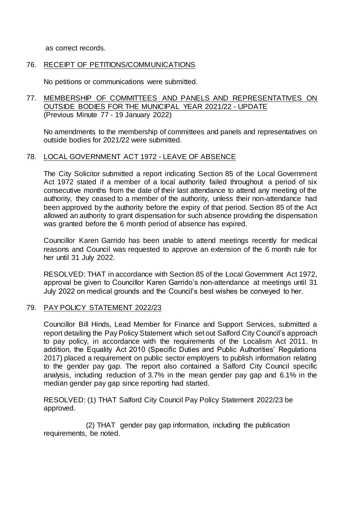as correct records.

### 76. RECEIPT OF PETITIONS/COMMUNICATIONS

No petitions or communications were submitted.

## 77. MEMBERSHIP OF COMMITTEES AND PANELS AND REPRESENTATIVES ON OUTSIDE BODIES FOR THE MUNICIPAL YEAR 2021/22 - UPDATE (Previous Minute 77 - 19 January 2022)

No amendments to the membership of committees and panels and representatives on outside bodies for 2021/22 were submitted.

### 78. LOCAL GOVERNMENT ACT 1972 - LEAVE OF ABSENCE

The City Solicitor submitted a report indicating Section 85 of the Local Government Act 1972 stated if a member of a local authority failed throughout a period of six consecutive months from the date of their last attendance to attend any meeting of the authority, they ceased to a member of the authority, unless their non-attendance had been approved by the authority before the expiry of that period. Section 85 of the Act allowed an authority to grant dispensation for such absence providing the dispensation was granted before the 6 month period of absence has expired.

Councillor Karen Garrido has been unable to attend meetings recently for medical reasons and Council was requested to approve an extension of the 6 month rule for her until 31 July 2022.

RESOLVED: THAT in accordance with Section 85 of the Local Government Act 1972, approval be given to Councillor Karen Garrido's non-attendance at meetings until 31 July 2022 on medical grounds and the Council's best wishes be conveyed to her.

#### 79. PAY POLICY STATEMENT 2022/23

Councillor Bill Hinds, Lead Member for Finance and Support Services, submitted a report detailing the Pay Policy Statement which set out Salford City Council's approach to pay policy, in accordance with the requirements of the Localism Act 2011. In addition, the Equality Act 2010 (Specific Duties and Public Authorities' Regulations 2017) placed a requirement on public sector employers to publish information relating to the gender pay gap. The report also contained a Salford City Council specific analysis, including reduction of 3.7% in the mean gender pay gap and 6.1% in the median gender pay gap since reporting had started.

RESOLVED: (1) THAT Salford City Council Pay Policy Statement 2022/23 be approved.

 (2) THAT gender pay gap information, including the publication requirements, be noted.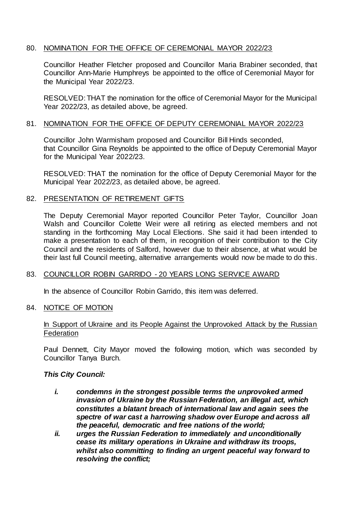# 80. NOMINATION FOR THE OFFICE OF CEREMONIAL MAYOR 2022/23

Councillor Heather Fletcher proposed and Councillor Maria Brabiner seconded, that Councillor Ann-Marie Humphreys be appointed to the office of Ceremonial Mayor for the Municipal Year 2022/23.

RESOLVED: THAT the nomination for the office of Ceremonial Mayor for the Municipal Year 2022/23, as detailed above, be agreed.

## 81. NOMINATION FOR THE OFFICE OF DEPUTY CEREMONIAL MAYOR 2022/23

Councillor John Warmisham proposed and Councillor Bill Hinds seconded, that Councillor Gina Reynolds be appointed to the office of Deputy Ceremonial Mayor for the Municipal Year 2022/23.

RESOLVED: THAT the nomination for the office of Deputy Ceremonial Mayor for the Municipal Year 2022/23, as detailed above, be agreed.

### 82. PRESENTATION OF RETIREMENT GIFTS

The Deputy Ceremonial Mayor reported Councillor Peter Taylor, Councillor Joan Walsh and Councillor Colette Weir were all retiring as elected members and not standing in the forthcoming May Local Elections. She said it had been intended to make a presentation to each of them, in recognition of their contribution to the City Council and the residents of Salford, however due to their absence, at what would be their last full Council meeting, alternative arrangements would now be made to do this.

## 83. COUNCILLOR ROBIN GARRIDO - 20 YEARS LONG SERVICE AWARD

In the absence of Councillor Robin Garrido, this item was deferred.

#### 84. NOTICE OF MOTION

## In Support of Ukraine and its People Against the Unprovoked Attack by the Russian **Federation**

Paul Dennett, City Mayor moved the following motion, which was seconded by Councillor Tanya Burch.

#### *This City Council:*

- *i. condemns in the strongest possible terms the unprovoked armed invasion of Ukraine by the Russian Federation, an illegal act, which constitutes a blatant breach of international law and again sees the spectre of war cast a harrowing shadow over Europe and across all the peaceful, democratic and free nations of the world;*
- *ii. urges the Russian Federation to immediately and unconditionally cease its military operations in Ukraine and withdraw its troops, whilst also committing to finding an urgent peaceful way forward to resolving the conflict;*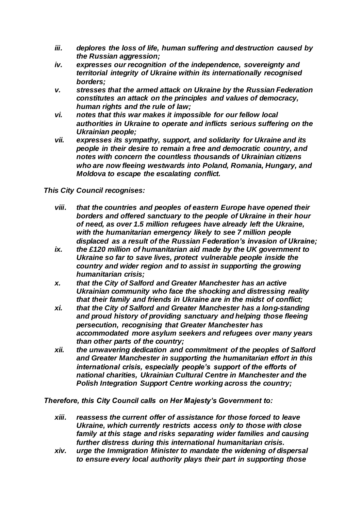- *iii. deplores the loss of life, human suffering and destruction caused by the Russian aggression;*
- *iv. expresses our recognition of the independence, sovereignty and territorial integrity of Ukraine within its internationally recognised borders;*
- *v. stresses that the armed attack on Ukraine by the Russian Federation constitutes an attack on the principles and values of democracy, human rights and the rule of law;*
- *vi. notes that this war makes it impossible for our fellow local authorities in Ukraine to operate and inflicts serious suffering on the Ukrainian people;*
- *vii. expresses its sympathy, support, and solidarity for Ukraine and its people in their desire to remain a free and democratic country, and notes with concern the countless thousands of Ukrainian citizens who are now fleeing westwards into Poland, Romania, Hungary, and Moldova to escape the escalating conflict.*

*This City Council recognises:*

- *viii. that the countries and peoples of eastern Europe have opened their borders and offered sanctuary to the people of Ukraine in their hour of need, as over 1.5 million refugees have already left the Ukraine, with the humanitarian emergency likely to see 7 million people displaced as a result of the Russian Federation's invasion of Ukraine;*
- *ix. the £120 million of humanitarian aid made by the UK government to Ukraine so far to save lives, protect vulnerable people inside the country and wider region and to assist in supporting the growing humanitarian crisis;*
- *x. that the City of Salford and Greater Manchester has an active Ukrainian community who face the shocking and distressing reality that their family and friends in Ukraine are in the midst of conflict;*
- *xi. that the City of Salford and Greater Manchester has a long-standing and proud history of providing sanctuary and helping those fleeing persecution, recognising that Greater Manchester has accommodated more asylum seekers and refugees over many years than other parts of the country;*
- *xii. the unwavering dedication and commitment of the peoples of Salford and Greater Manchester in supporting the humanitarian effort in this international crisis, especially people's support of the efforts of national charities, Ukrainian Cultural Centre in Manchester and the Polish Integration Support Centre working across the country;*

*Therefore, this City Council calls on Her Majesty's Government to:*

- *xiii. reassess the current offer of assistance for those forced to leave Ukraine, which currently restricts access only to those with close family at this stage and risks separating wider families and causing further distress during this international humanitarian crisis.*
- *xiv. urge the Immigration Minister to mandate the widening of dispersal to ensure every local authority plays their part in supporting those*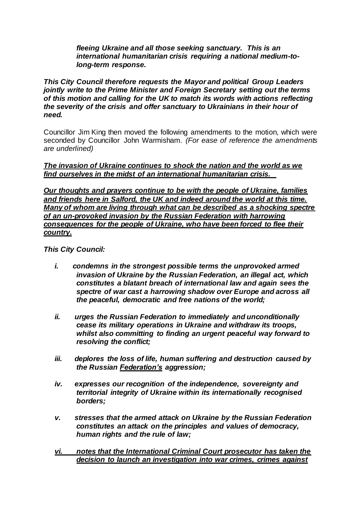*fleeing Ukraine and all those seeking sanctuary. This is an international humanitarian crisis requiring a national medium-tolong-term response.*

*This City Council therefore requests the Mayor and political Group Leaders jointly write to the Prime Minister and Foreign Secretary setting out the terms of this motion and calling for the UK to match its words with actions reflecting the severity of the crisis and offer sanctuary to Ukrainians in their hour of need.*

Councillor Jim King then moved the following amendments to the motion, which were seconded by Councillor John Warmisham. *(For ease of reference the amendments are underlined)*

### *The invasion of Ukraine continues to shock the nation and the world as we find ourselves in the midst of an international humanitarian crisis.*

*Our thoughts and prayers continue to be with the people of Ukraine, families and friends here in Salford, the UK and indeed around the world at this time. Many of whom are living through what can be described as a shocking spectre of an un-provoked invasion by the Russian Federation with harrowing consequences for the people of Ukraine, who have been forced to flee their country.*

*This City Council:* 

- *i. condemns in the strongest possible terms the unprovoked armed invasion of Ukraine by the Russian Federation, an illegal act, which constitutes a blatant breach of international law and again sees the spectre of war cast a harrowing shadow over Europe and across all the peaceful, democratic and free nations of the world;*
- *ii. urges the Russian Federation to immediately and unconditionally cease its military operations in Ukraine and withdraw its troops, whilst also committing to finding an urgent peaceful way forward to resolving the conflict;*
- *iii. deplores the loss of life, human suffering and destruction caused by the Russian Federation's aggression;*
- *iv. expresses our recognition of the independence, sovereignty and territorial integrity of Ukraine within its internationally recognised borders;*
- *v. stresses that the armed attack on Ukraine by the Russian Federation constitutes an attack on the principles and values of democracy, human rights and the rule of law;*
- *vi. notes that the International Criminal Court prosecutor has taken the decision to launch an investigation into war crimes, crimes against*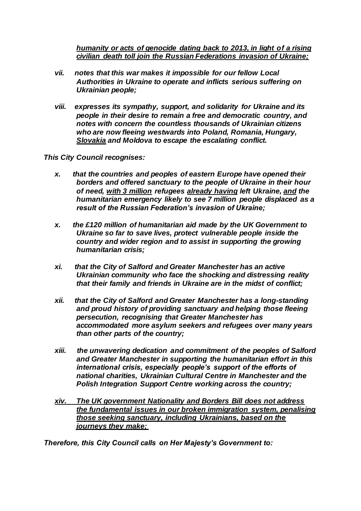*humanity or acts of genocide dating back to 2013, in light of a rising civilian death toll join the Russian Federations invasion of Ukraine;*

- *vii. notes that this war makes it impossible for our fellow Local Authorities in Ukraine to operate and inflicts serious suffering on Ukrainian people;*
- *viii. expresses its sympathy, support, and solidarity for Ukraine and its people in their desire to remain a free and democratic country, and notes with concern the countless thousands of Ukrainian citizens who are now fleeing westwards into Poland, Romania, Hungary, Slovakia and Moldova to escape the escalating conflict.*

*This City Council recognises:*

- *x. that the countries and peoples of eastern Europe have opened their borders and offered sanctuary to the people of Ukraine in their hour of need, with 3 million refugees already having left Ukraine, and the humanitarian emergency likely to see 7 million people displaced as a result of the Russian Federation's invasion of Ukraine;*
- *x. the £120 million of humanitarian aid made by the UK Government to Ukraine so far to save lives, protect vulnerable people inside the country and wider region and to assist in supporting the growing humanitarian crisis;*
- *xi. that the City of Salford and Greater Manchester has an active Ukrainian community who face the shocking and distressing reality that their family and friends in Ukraine are in the midst of conflict;*
- *xii. that the City of Salford and Greater Manchester has a long-standing and proud history of providing sanctuary and helping those fleeing persecution, recognising that Greater Manchester has accommodated more asylum seekers and refugees over many years than other parts of the country;*
- *xiii. the unwavering dedication and commitment of the peoples of Salford and Greater Manchester in supporting the humanitarian effort in this international crisis, especially people's support of the efforts of national charities, Ukrainian Cultural Centre in Manchester and the Polish Integration Support Centre working across the country;*
- *xiv. The UK government Nationality and Borders Bill does not address the fundamental issues in our broken immigration system, penalising those seeking sanctuary, including Ukrainians, based on the journeys they make;*

*Therefore, this City Council calls on Her Majesty's Government to:*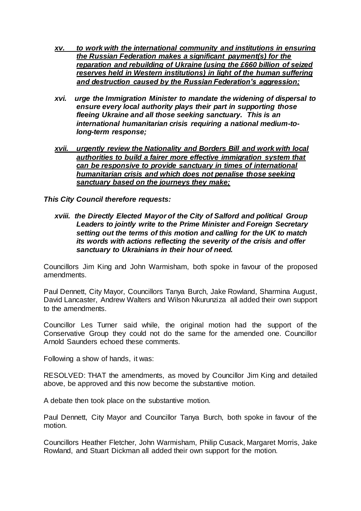- *xv. to work with the international community and institutions in ensuring the Russian Federation makes a significant payment(s) for the reparation and rebuilding of Ukraine (using the £660 billion of seized reserves held in Western institutions) in light of the human suffering and destruction caused by the Russian Federation's aggression;*
- *xvi. urge the Immigration Minister to mandate the widening of dispersal to ensure every local authority plays their part in supporting those fleeing Ukraine and all those seeking sanctuary. This is an international humanitarian crisis requiring a national medium-tolong-term response;*
- *xvii. urgently review the Nationality and Borders Bill and work with local authorities to build a fairer more effective immigration system that can be responsive to provide sanctuary in times of international humanitarian crisis and which does not penalise those seeking sanctuary based on the journeys they make;*

*This City Council therefore requests:* 

*xviii. the Directly Elected Mayor of the City of Salford and political Group Leaders to jointly write to the Prime Minister and Foreign Secretary setting out the terms of this motion and calling for the UK to match its words with actions reflecting the severity of the crisis and offer sanctuary to Ukrainians in their hour of need.*

Councillors Jim King and John Warmisham, both spoke in favour of the proposed amendments.

Paul Dennett, City Mayor, Councillors Tanya Burch, Jake Rowland, Sharmina August, David Lancaster, Andrew Walters and Wilson Nkurunziza all added their own support to the amendments.

Councillor Les Turner said while, the original motion had the support of the Conservative Group they could not do the same for the amended one. Councillor Arnold Saunders echoed these comments.

Following a show of hands, it was:

RESOLVED: THAT the amendments, as moved by Councillor Jim King and detailed above, be approved and this now become the substantive motion.

A debate then took place on the substantive motion.

Paul Dennett, City Mayor and Councillor Tanya Burch, both spoke in favour of the motion.

Councillors Heather Fletcher, John Warmisham, Philip Cusack, Margaret Morris, Jake Rowland, and Stuart Dickman all added their own support for the motion.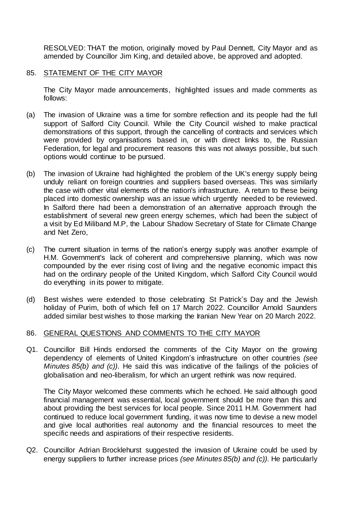RESOLVED: THAT the motion, originally moved by Paul Dennett, City Mayor and as amended by Councillor Jim King, and detailed above, be approved and adopted.

## 85. STATEMENT OF THE CITY MAYOR

The City Mayor made announcements, highlighted issues and made comments as follows:

- (a) The invasion of Ukraine was a time for sombre reflection and its people had the full support of Salford City Council. While the City Council wished to make practical demonstrations of this support, through the cancelling of contracts and services which were provided by organisations based in, or with direct links to, the Russian Federation, for legal and procurement reasons this was not always possible, but such options would continue to be pursued.
- (b) The invasion of Ukraine had highlighted the problem of the UK's energy supply being unduly reliant on foreign countries and suppliers based overseas. This was similarly the case with other vital elements of the nation's infrastructure. A return to these being placed into domestic ownership was an issue which urgently needed to be reviewed. In Salford there had been a demonstration of an alternative approach through the establishment of several new green energy schemes, which had been the subject of a visit by Ed Miliband M.P, the Labour Shadow Secretary of State for Climate Change and Net Zero,
- (c) The current situation in terms of the nation's energy supply was another example of H.M. Government's lack of coherent and comprehensive planning, which was now compounded by the ever rising cost of living and the negative economic impact this had on the ordinary people of the United Kingdom, which Salford City Council would do everything in its power to mitigate.
- (d) Best wishes were extended to those celebrating St Patrick's Day and the Jewish holiday of Purim, both of which fell on 17 March 2022. Councillor Arnold Saunders added similar best wishes to those marking the Iranian New Year on 20 March 2022.

## 86. GENERAL QUESTIONS AND COMMENTS TO THE CITY MAYOR

Q1. Councillor Bill Hinds endorsed the comments of the City Mayor on the growing dependency of elements of United Kingdom's infrastructure on other countries *(see Minutes 85(b) and (c))*. He said this was indicative of the failings of the policies of globalisation and neo-liberalism, for which an urgent rethink was now required.

The City Mayor welcomed these comments which he echoed. He said although good financial management was essential, local government should be more than this and about providing the best services for local people. Since 2011 H.M. Government had continued to reduce local government funding, it was now time to devise a new model and give local authorities real autonomy and the financial resources to meet the specific needs and aspirations of their respective residents.

Q2. Councillor Adrian Brocklehurst suggested the invasion of Ukraine could be used by energy suppliers to further increase prices *(see Minutes 85(b) and (c))*. He particularly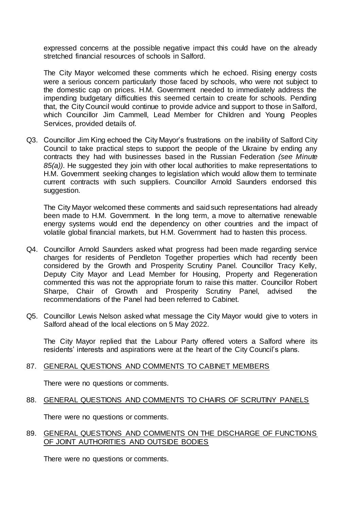expressed concerns at the possible negative impact this could have on the already stretched financial resources of schools in Salford.

The City Mayor welcomed these comments which he echoed. Rising energy costs were a serious concern particularly those faced by schools, who were not subject to the domestic cap on prices. H.M. Government needed to immediately address the impending budgetary difficulties this seemed certain to create for schools. Pending that, the City Council would continue to provide advice and support to those in Salford, which Councillor Jim Cammell, Lead Member for Children and Young Peoples Services, provided details of.

Q3. Councillor Jim King echoed the City Mayor's frustrations on the inability of Salford City Council to take practical steps to support the people of the Ukraine by ending any contracts they had with businesses based in the Russian Federation *(see Minute 85(a))*. He suggested they join with other local authorities to make representations to H.M. Government seeking changes to legislation which would allow them to terminate current contracts with such suppliers. Councillor Arnold Saunders endorsed this suggestion.

The City Mayor welcomed these comments and said such representations had already been made to H.M. Government. In the long term, a move to alternative renewable energy systems would end the dependency on other countries and the impact of volatile global financial markets, but H.M. Government had to hasten this process.

- Q4. Councillor Arnold Saunders asked what progress had been made regarding service charges for residents of Pendleton Together properties which had recently been considered by the Growth and Prosperity Scrutiny Panel. Councillor Tracy Kelly, Deputy City Mayor and Lead Member for Housing, Property and Regeneration commented this was not the appropriate forum to raise this matter. Councillor Robert Sharpe, Chair of Growth and Prosperity Scrutiny Panel, advised the recommendations of the Panel had been referred to Cabinet.
- Q5. Councillor Lewis Nelson asked what message the City Mayor would give to voters in Salford ahead of the local elections on 5 May 2022.

The City Mayor replied that the Labour Party offered voters a Salford where its residents' interests and aspirations were at the heart of the City Council's plans.

## 87. GENERAL QUESTIONS AND COMMENTS TO CABINET MEMBERS

There were no questions or comments.

88. GENERAL QUESTIONS AND COMMENTS TO CHAIRS OF SCRUTINY PANELS

There were no questions or comments.

## 89. GENERAL QUESTIONS AND COMMENTS ON THE DISCHARGE OF FUNCTIONS OF JOINT AUTHORITIES AND OUTSIDE BODIES

There were no questions or comments.